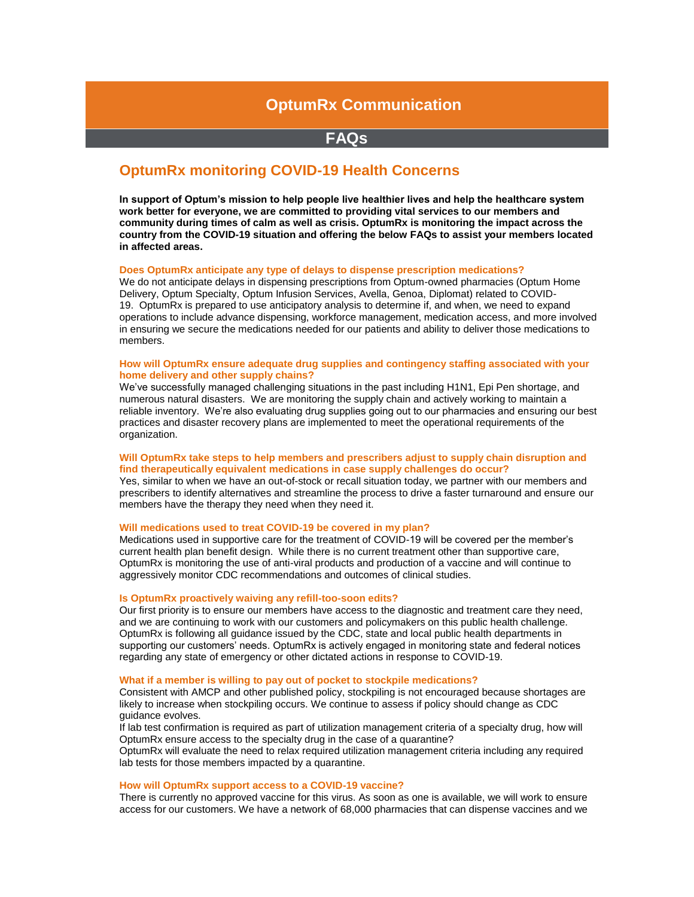# **OptumRx Communication**

## **FAQs**

## **OptumRx monitoring COVID-19 Health Concerns**

**In support of Optum's mission to help people live healthier lives and help the healthcare system work better for everyone, we are committed to providing vital services to our members and community during times of calm as well as crisis. OptumRx is monitoring the impact across the country from the COVID-19 situation and offering the below FAQs to assist your members located in affected areas.** 

#### **Does OptumRx anticipate any type of delays to dispense prescription medications?**

We do not anticipate delays in dispensing prescriptions from Optum-owned pharmacies (Optum Home Delivery, Optum Specialty, Optum Infusion Services, Avella, Genoa, Diplomat) related to COVID-19. OptumRx is prepared to use anticipatory analysis to determine if, and when, we need to expand operations to include advance dispensing, workforce management, medication access, and more involved in ensuring we secure the medications needed for our patients and ability to deliver those medications to members.

#### **How will OptumRx ensure adequate drug supplies and contingency staffing associated with your home delivery and other supply chains?**

We've successfully managed challenging situations in the past including H1N1, Epi Pen shortage, and numerous natural disasters. We are monitoring the supply chain and actively working to maintain a reliable inventory. We're also evaluating drug supplies going out to our pharmacies and ensuring our best practices and disaster recovery plans are implemented to meet the operational requirements of the organization.

#### **Will OptumRx take steps to help members and prescribers adjust to supply chain disruption and find therapeutically equivalent medications in case supply challenges do occur?**

Yes, similar to when we have an out-of-stock or recall situation today, we partner with our members and prescribers to identify alternatives and streamline the process to drive a faster turnaround and ensure our members have the therapy they need when they need it.

## **Will medications used to treat COVID-19 be covered in my plan?**

Medications used in supportive care for the treatment of COVID-19 will be covered per the member's current health plan benefit design. While there is no current treatment other than supportive care, OptumRx is monitoring the use of anti-viral products and production of a vaccine and will continue to aggressively monitor CDC recommendations and outcomes of clinical studies.

#### **Is OptumRx proactively waiving any refill-too-soon edits?**

Our first priority is to ensure our members have access to the diagnostic and treatment care they need, and we are continuing to work with our customers and policymakers on this public health challenge. OptumRx is following all guidance issued by the CDC, state and local public health departments in supporting our customers' needs. OptumRx is actively engaged in monitoring state and federal notices regarding any state of emergency or other dictated actions in response to COVID-19.

#### **What if a member is willing to pay out of pocket to stockpile medications?**

Consistent with AMCP and other published policy, stockpiling is not encouraged because shortages are likely to increase when stockpiling occurs. We continue to assess if policy should change as CDC guidance evolves.

If lab test confirmation is required as part of utilization management criteria of a specialty drug, how will OptumRx ensure access to the specialty drug in the case of a quarantine?

OptumRx will evaluate the need to relax required utilization management criteria including any required lab tests for those members impacted by a quarantine.

#### **How will OptumRx support access to a COVID-19 vaccine?**

There is currently no approved vaccine for this virus. As soon as one is available, we will work to ensure access for our customers. We have a network of 68,000 pharmacies that can dispense vaccines and we